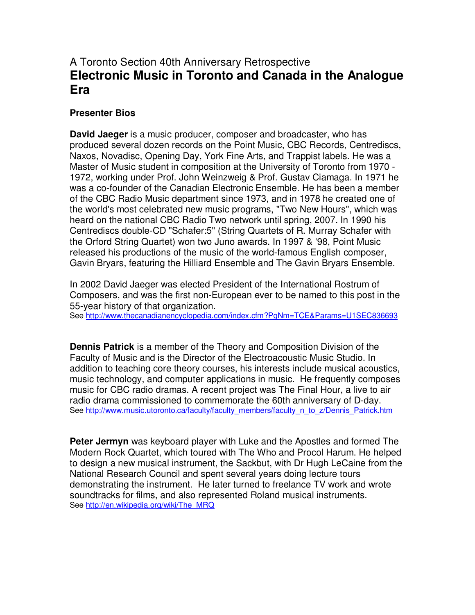## A Toronto Section 40th Anniversary Retrospective **Electronic Music in Toronto and Canada in the Analogue Era**

## **Presenter Bios**

**David Jaeger** is a music producer, composer and broadcaster, who has produced several dozen records on the Point Music, CBC Records, Centrediscs, Naxos, Novadisc, Opening Day, York Fine Arts, and Trappist labels. He was a Master of Music student in composition at the University of Toronto from 1970 - 1972, working under Prof. John Weinzweig & Prof. Gustav Ciamaga. In 1971 he was a co-founder of the Canadian Electronic Ensemble. He has been a member of the CBC Radio Music department since 1973, and in 1978 he created one of the world's most celebrated new music programs, "Two New Hours", which was heard on the national CBC Radio Two network until spring, 2007. In 1990 his Centrediscs double-CD "Schafer:5" (String Quartets of R. Murray Schafer with the Orford String Quartet) won two Juno awards. In 1997 & '98, Point Music released his productions of the music of the world-famous English composer, Gavin Bryars, featuring the Hilliard Ensemble and The Gavin Bryars Ensemble.

In 2002 David Jaeger was elected President of the International Rostrum of Composers, and was the first non-European ever to be named to this post in the 55-year history of that organization.

See http://www.thecanadianencyclopedia.com/index.cfm?PgNm=TCE&Params=U1SEC836693

**Dennis Patrick** is a member of the Theory and Composition Division of the Faculty of Music and is the Director of the Electroacoustic Music Studio. In addition to teaching core theory courses, his interests include musical acoustics, music technology, and computer applications in music. He frequently composes music for CBC radio dramas. A recent project was The Final Hour, a live to air radio drama commissioned to commemorate the 60th anniversary of D-day. See http://www.music.utoronto.ca/faculty/faculty\_members/faculty\_n\_to\_z/Dennis\_Patrick.htm

**Peter Jermyn** was keyboard player with Luke and the Apostles and formed The Modern Rock Quartet, which toured with The Who and Procol Harum. He helped to design a new musical instrument, the Sackbut, with Dr Hugh LeCaine from the National Research Council and spent several years doing lecture tours demonstrating the instrument. He later turned to freelance TV work and wrote soundtracks for films, and also represented Roland musical instruments. See http://en.wikipedia.org/wiki/The\_MRQ